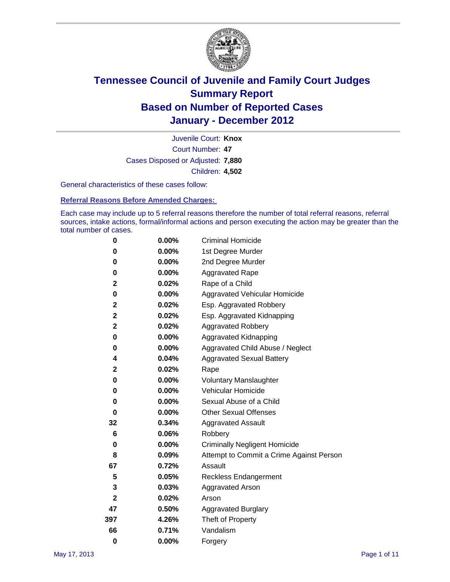

Court Number: **47** Juvenile Court: **Knox** Cases Disposed or Adjusted: **7,880** Children: **4,502**

General characteristics of these cases follow:

**Referral Reasons Before Amended Charges:** 

Each case may include up to 5 referral reasons therefore the number of total referral reasons, referral sources, intake actions, formal/informal actions and person executing the action may be greater than the total number of cases.

| 0            | $0.00\%$ | <b>Criminal Homicide</b>                 |
|--------------|----------|------------------------------------------|
| 0            | 0.00%    | 1st Degree Murder                        |
| 0            | $0.00\%$ | 2nd Degree Murder                        |
| 0            | $0.00\%$ | <b>Aggravated Rape</b>                   |
| 2            | 0.02%    | Rape of a Child                          |
| 0            | 0.00%    | Aggravated Vehicular Homicide            |
| 2            | 0.02%    | Esp. Aggravated Robbery                  |
| 2            | 0.02%    | Esp. Aggravated Kidnapping               |
| $\mathbf 2$  | 0.02%    | <b>Aggravated Robbery</b>                |
| 0            | $0.00\%$ | Aggravated Kidnapping                    |
| 0            | 0.00%    | Aggravated Child Abuse / Neglect         |
| 4            | 0.04%    | <b>Aggravated Sexual Battery</b>         |
| 2            | 0.02%    | Rape                                     |
| 0            | $0.00\%$ | <b>Voluntary Manslaughter</b>            |
| 0            | 0.00%    | Vehicular Homicide                       |
| 0            | 0.00%    | Sexual Abuse of a Child                  |
| 0            | $0.00\%$ | <b>Other Sexual Offenses</b>             |
| 32           | 0.34%    | <b>Aggravated Assault</b>                |
| 6            | 0.06%    | Robbery                                  |
| 0            | 0.00%    | <b>Criminally Negligent Homicide</b>     |
| 8            | 0.09%    | Attempt to Commit a Crime Against Person |
| 67           | 0.72%    | Assault                                  |
| 5            | 0.05%    | <b>Reckless Endangerment</b>             |
| 3            | 0.03%    | <b>Aggravated Arson</b>                  |
| $\mathbf{2}$ | 0.02%    | Arson                                    |
| 47           | 0.50%    | <b>Aggravated Burglary</b>               |
| 397          | 4.26%    | Theft of Property                        |
| 66           | 0.71%    | Vandalism                                |
| $\bf{0}$     | 0.00%    | Forgery                                  |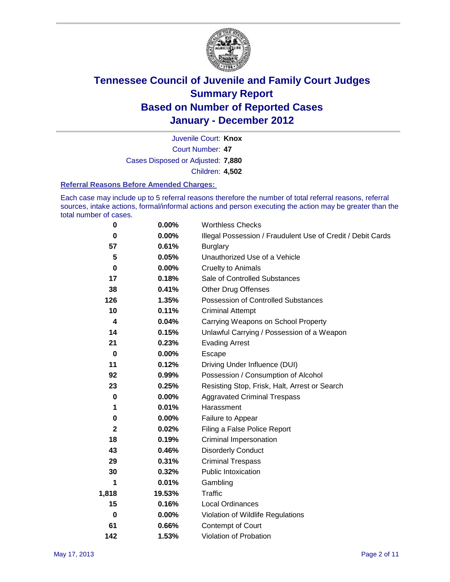

Court Number: **47** Juvenile Court: **Knox** Cases Disposed or Adjusted: **7,880** Children: **4,502**

#### **Referral Reasons Before Amended Charges:**

Each case may include up to 5 referral reasons therefore the number of total referral reasons, referral sources, intake actions, formal/informal actions and person executing the action may be greater than the total number of cases.

| 0            | 0.00%    | <b>Worthless Checks</b>                                     |
|--------------|----------|-------------------------------------------------------------|
| 0            | 0.00%    | Illegal Possession / Fraudulent Use of Credit / Debit Cards |
| 57           | 0.61%    | <b>Burglary</b>                                             |
| 5            | 0.05%    | Unauthorized Use of a Vehicle                               |
| 0            | $0.00\%$ | <b>Cruelty to Animals</b>                                   |
| 17           | 0.18%    | Sale of Controlled Substances                               |
| 38           | 0.41%    | <b>Other Drug Offenses</b>                                  |
| 126          | 1.35%    | Possession of Controlled Substances                         |
| 10           | 0.11%    | <b>Criminal Attempt</b>                                     |
| 4            | 0.04%    | Carrying Weapons on School Property                         |
| 14           | 0.15%    | Unlawful Carrying / Possession of a Weapon                  |
| 21           | 0.23%    | <b>Evading Arrest</b>                                       |
| 0            | $0.00\%$ | Escape                                                      |
| 11           | 0.12%    | Driving Under Influence (DUI)                               |
| 92           | 0.99%    | Possession / Consumption of Alcohol                         |
| 23           | 0.25%    | Resisting Stop, Frisk, Halt, Arrest or Search               |
| 0            | $0.00\%$ | <b>Aggravated Criminal Trespass</b>                         |
| 1            | 0.01%    | Harassment                                                  |
| 0            | 0.00%    | Failure to Appear                                           |
| $\mathbf{2}$ | 0.02%    | Filing a False Police Report                                |
| 18           | 0.19%    | Criminal Impersonation                                      |
| 43           | 0.46%    | <b>Disorderly Conduct</b>                                   |
| 29           | 0.31%    | <b>Criminal Trespass</b>                                    |
| 30           | 0.32%    | <b>Public Intoxication</b>                                  |
| 1            | 0.01%    | Gambling                                                    |
| 1,818        | 19.53%   | <b>Traffic</b>                                              |
| 15           | 0.16%    | <b>Local Ordinances</b>                                     |
| 0            | 0.00%    | Violation of Wildlife Regulations                           |
| 61           | 0.66%    | Contempt of Court                                           |
| 142          | 1.53%    | Violation of Probation                                      |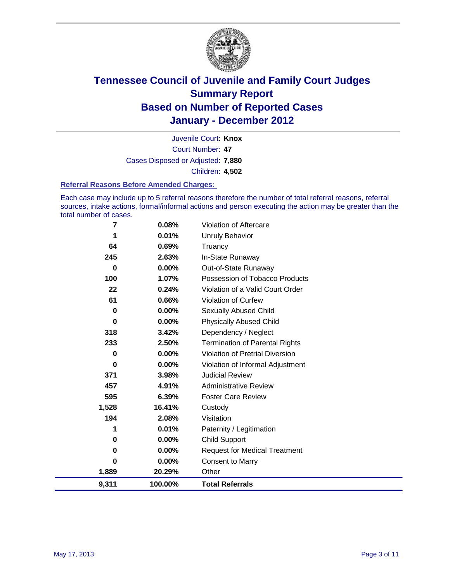

Court Number: **47** Juvenile Court: **Knox** Cases Disposed or Adjusted: **7,880** Children: **4,502**

#### **Referral Reasons Before Amended Charges:**

Each case may include up to 5 referral reasons therefore the number of total referral reasons, referral sources, intake actions, formal/informal actions and person executing the action may be greater than the total number of cases.

| 7        | 0.08%    | Violation of Aftercare                 |
|----------|----------|----------------------------------------|
| 1        | 0.01%    | Unruly Behavior                        |
| 64       | 0.69%    | Truancy                                |
| 245      | 2.63%    | In-State Runaway                       |
| 0        | 0.00%    | Out-of-State Runaway                   |
| 100      | 1.07%    | Possession of Tobacco Products         |
| 22       | 0.24%    | Violation of a Valid Court Order       |
| 61       | 0.66%    | <b>Violation of Curfew</b>             |
| 0        | 0.00%    | <b>Sexually Abused Child</b>           |
| $\bf{0}$ | $0.00\%$ | <b>Physically Abused Child</b>         |
| 318      | 3.42%    | Dependency / Neglect                   |
| 233      | 2.50%    | <b>Termination of Parental Rights</b>  |
| $\bf{0}$ | 0.00%    | <b>Violation of Pretrial Diversion</b> |
| 0        | 0.00%    | Violation of Informal Adjustment       |
| 371      | 3.98%    | <b>Judicial Review</b>                 |
| 457      | 4.91%    | <b>Administrative Review</b>           |
| 595      | 6.39%    | <b>Foster Care Review</b>              |
| 1,528    | 16.41%   | Custody                                |
| 194      | 2.08%    | Visitation                             |
| 1        | 0.01%    | Paternity / Legitimation               |
| 0        | 0.00%    | <b>Child Support</b>                   |
| $\bf{0}$ | 0.00%    | <b>Request for Medical Treatment</b>   |
| 0        | 0.00%    | <b>Consent to Marry</b>                |
| 1,889    | 20.29%   | Other                                  |
| 9,311    | 100.00%  | <b>Total Referrals</b>                 |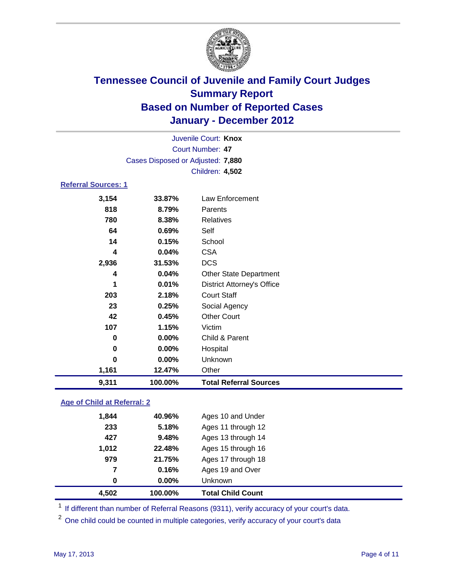

|                                    |                                   | Juvenile Court: Knox              |  |
|------------------------------------|-----------------------------------|-----------------------------------|--|
|                                    |                                   | Court Number: 47                  |  |
|                                    | Cases Disposed or Adjusted: 7,880 |                                   |  |
|                                    |                                   | Children: 4,502                   |  |
| <b>Referral Sources: 1</b>         |                                   |                                   |  |
| 3,154                              | 33.87%                            | Law Enforcement                   |  |
| 818                                | 8.79%                             | Parents                           |  |
| 780                                | 8.38%                             | <b>Relatives</b>                  |  |
| 64                                 | 0.69%                             | Self                              |  |
| 14                                 | 0.15%                             | School                            |  |
| 4                                  | 0.04%                             | <b>CSA</b>                        |  |
| 2,936                              | 31.53%                            | <b>DCS</b>                        |  |
| 4                                  | 0.04%                             | <b>Other State Department</b>     |  |
| 1                                  | 0.01%                             | <b>District Attorney's Office</b> |  |
| 203                                | 2.18%                             | <b>Court Staff</b>                |  |
| 23                                 | 0.25%                             | Social Agency                     |  |
| 42                                 | 0.45%                             | <b>Other Court</b>                |  |
| 107                                | 1.15%                             | Victim                            |  |
| 0                                  | 0.00%                             | Child & Parent                    |  |
| 0                                  | 0.00%                             | Hospital                          |  |
| $\bf{0}$                           | 0.00%                             | Unknown                           |  |
| 1,161                              | 12.47%                            | Other                             |  |
| 9,311                              | 100.00%                           | <b>Total Referral Sources</b>     |  |
| <b>Age of Child at Referral: 2</b> |                                   |                                   |  |
| 1,844                              | 40.96%                            | Ages 10 and Under                 |  |
| つつつ                                | 5.18%                             | $\Delta$ ges 11 through 12        |  |

| 4,502 | 100.00%   | <b>Total Child Count</b> |
|-------|-----------|--------------------------|
| 0     | $0.00\%$  | <b>Unknown</b>           |
| 7     | 0.16%     | Ages 19 and Over         |
| 979   | 21.75%    | Ages 17 through 18       |
| 1,012 | 22.48%    | Ages 15 through 16       |
| 427   | 9.48%     | Ages 13 through 14       |
| 233   | 5.18%     | Ages 11 through 12       |
| 1,044 | 40.JO / 0 | AUGS TO AIRE OTIGET      |

<sup>1</sup> If different than number of Referral Reasons (9311), verify accuracy of your court's data.

<sup>2</sup> One child could be counted in multiple categories, verify accuracy of your court's data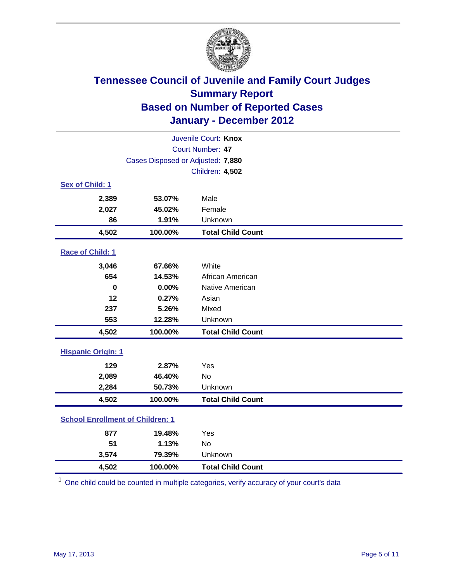

| Juvenile Court: Knox                    |                                   |                          |  |  |  |
|-----------------------------------------|-----------------------------------|--------------------------|--|--|--|
|                                         | Court Number: 47                  |                          |  |  |  |
|                                         | Cases Disposed or Adjusted: 7,880 |                          |  |  |  |
|                                         |                                   | Children: 4,502          |  |  |  |
| Sex of Child: 1                         |                                   |                          |  |  |  |
| 2,389                                   | 53.07%                            | Male                     |  |  |  |
| 2,027                                   | 45.02%                            | Female                   |  |  |  |
| 86                                      | 1.91%                             | Unknown                  |  |  |  |
| 4,502                                   | 100.00%                           | <b>Total Child Count</b> |  |  |  |
| Race of Child: 1                        |                                   |                          |  |  |  |
| 3,046                                   | 67.66%                            | White                    |  |  |  |
| 654                                     | 14.53%                            | African American         |  |  |  |
| $\mathbf 0$                             | 0.00%                             | Native American          |  |  |  |
| 12                                      | 0.27%                             | Asian                    |  |  |  |
| 237                                     | 5.26%                             | Mixed                    |  |  |  |
| 553                                     | 12.28%                            | Unknown                  |  |  |  |
| 4,502                                   | 100.00%                           | <b>Total Child Count</b> |  |  |  |
| <b>Hispanic Origin: 1</b>               |                                   |                          |  |  |  |
| 129                                     | 2.87%                             | Yes                      |  |  |  |
| 2,089                                   | 46.40%                            | <b>No</b>                |  |  |  |
| 2,284                                   | 50.73%                            | Unknown                  |  |  |  |
| 4,502                                   | 100.00%                           | <b>Total Child Count</b> |  |  |  |
| <b>School Enrollment of Children: 1</b> |                                   |                          |  |  |  |
| 877                                     | 19.48%                            | Yes                      |  |  |  |
| 51                                      | 1.13%                             | <b>No</b>                |  |  |  |
| 3,574                                   | 79.39%                            | Unknown                  |  |  |  |
| 4,502                                   | 100.00%                           | <b>Total Child Count</b> |  |  |  |

<sup>1</sup> One child could be counted in multiple categories, verify accuracy of your court's data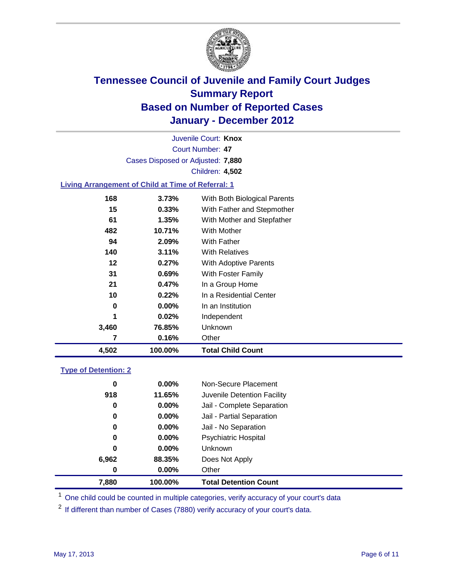

Court Number: **47** Juvenile Court: **Knox** Cases Disposed or Adjusted: **7,880** Children: **4,502**

### **Living Arrangement of Child at Time of Referral: 1**

| 4,502 | 100.00%  | <b>Total Child Count</b>     |
|-------|----------|------------------------------|
| 7     | 0.16%    | Other                        |
| 3,460 | 76.85%   | Unknown                      |
| 1     | 0.02%    | Independent                  |
| 0     | $0.00\%$ | In an Institution            |
| 10    | 0.22%    | In a Residential Center      |
| 21    | 0.47%    | In a Group Home              |
| 31    | $0.69\%$ | With Foster Family           |
| 12    | 0.27%    | With Adoptive Parents        |
| 140   | 3.11%    | <b>With Relatives</b>        |
| 94    | 2.09%    | <b>With Father</b>           |
| 482   | 10.71%   | With Mother                  |
| 61    | 1.35%    | With Mother and Stepfather   |
| 15    | 0.33%    | With Father and Stepmother   |
| 168   | 3.73%    | With Both Biological Parents |
|       |          |                              |

#### **Type of Detention: 2**

| 7,880 | 100.00%  | <b>Total Detention Count</b> |  |
|-------|----------|------------------------------|--|
| 0     | 0.00%    | Other                        |  |
| 6,962 | 88.35%   | Does Not Apply               |  |
| 0     | 0.00%    | Unknown                      |  |
| 0     | 0.00%    | <b>Psychiatric Hospital</b>  |  |
| 0     | 0.00%    | Jail - No Separation         |  |
| 0     | $0.00\%$ | Jail - Partial Separation    |  |
| 0     | 0.00%    | Jail - Complete Separation   |  |
| 918   | 11.65%   | Juvenile Detention Facility  |  |
| 0     | $0.00\%$ | Non-Secure Placement         |  |
|       |          |                              |  |

<sup>1</sup> One child could be counted in multiple categories, verify accuracy of your court's data

<sup>2</sup> If different than number of Cases (7880) verify accuracy of your court's data.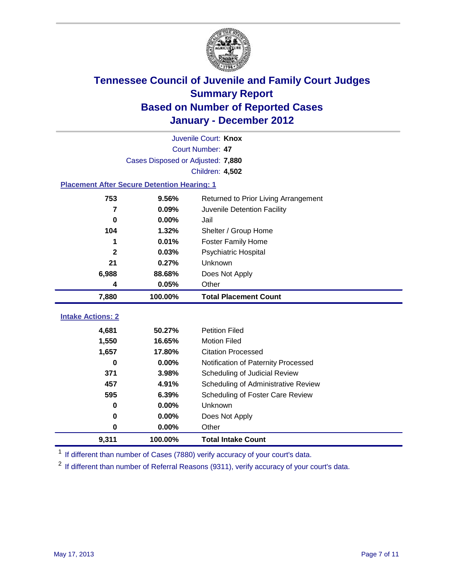

| 9,311                                              | 100.00%                           | <b>Total Intake Count</b>            |  |  |  |  |
|----------------------------------------------------|-----------------------------------|--------------------------------------|--|--|--|--|
| $\bf{0}$                                           | 0.00%                             | Other                                |  |  |  |  |
| 0                                                  | 0.00%                             | Does Not Apply                       |  |  |  |  |
| $\bf{0}$                                           | 0.00%                             | Unknown                              |  |  |  |  |
| 595                                                | 6.39%                             | Scheduling of Foster Care Review     |  |  |  |  |
| 457                                                | 4.91%                             | Scheduling of Administrative Review  |  |  |  |  |
| 371                                                | 3.98%                             | Scheduling of Judicial Review        |  |  |  |  |
| 0                                                  | 0.00%                             | Notification of Paternity Processed  |  |  |  |  |
| 1,657                                              | 17.80%                            | <b>Citation Processed</b>            |  |  |  |  |
| 1,550                                              | 16.65%                            | <b>Motion Filed</b>                  |  |  |  |  |
| 4,681                                              | 50.27%                            | <b>Petition Filed</b>                |  |  |  |  |
| <b>Intake Actions: 2</b>                           |                                   |                                      |  |  |  |  |
| 7,880                                              | 100.00%                           | <b>Total Placement Count</b>         |  |  |  |  |
| 4                                                  | 0.05%                             | Other                                |  |  |  |  |
| 6,988                                              | 88.68%                            | Does Not Apply                       |  |  |  |  |
| 21                                                 | 0.27%                             | Unknown                              |  |  |  |  |
| $\mathbf{2}$                                       | 0.03%                             | Psychiatric Hospital                 |  |  |  |  |
| 1                                                  | 0.01%                             | <b>Foster Family Home</b>            |  |  |  |  |
| 104                                                | 1.32%                             | Shelter / Group Home                 |  |  |  |  |
| $\bf{0}$                                           | 0.00%                             | Jail                                 |  |  |  |  |
| $\overline{7}$                                     | 0.09%                             | Juvenile Detention Facility          |  |  |  |  |
| 753                                                | 9.56%                             | Returned to Prior Living Arrangement |  |  |  |  |
| <b>Placement After Secure Detention Hearing: 1</b> |                                   |                                      |  |  |  |  |
|                                                    | <b>Children: 4,502</b>            |                                      |  |  |  |  |
|                                                    | Cases Disposed or Adjusted: 7,880 |                                      |  |  |  |  |
| Court Number: 47                                   |                                   |                                      |  |  |  |  |
|                                                    | Juvenile Court: Knox              |                                      |  |  |  |  |
|                                                    |                                   |                                      |  |  |  |  |

<sup>1</sup> If different than number of Cases (7880) verify accuracy of your court's data.

<sup>2</sup> If different than number of Referral Reasons (9311), verify accuracy of your court's data.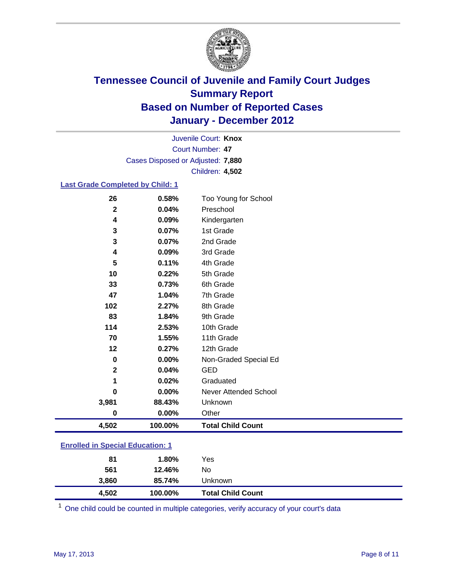

Court Number: **47** Juvenile Court: **Knox** Cases Disposed or Adjusted: **7,880** Children: **4,502**

### **Last Grade Completed by Child: 1**

| 26                                      | 0.58%   | Too Young for School         |  |
|-----------------------------------------|---------|------------------------------|--|
| $\mathbf{2}$                            | 0.04%   | Preschool                    |  |
| 4                                       | 0.09%   | Kindergarten                 |  |
| 3                                       | 0.07%   | 1st Grade                    |  |
| 3                                       | 0.07%   | 2nd Grade                    |  |
| 4                                       | 0.09%   | 3rd Grade                    |  |
| 5                                       | 0.11%   | 4th Grade                    |  |
| 10                                      | 0.22%   | 5th Grade                    |  |
| 33                                      | 0.73%   | 6th Grade                    |  |
| 47                                      | 1.04%   | 7th Grade                    |  |
| 102                                     | 2.27%   | 8th Grade                    |  |
| 83                                      | 1.84%   | 9th Grade                    |  |
| 114                                     | 2.53%   | 10th Grade                   |  |
| 70                                      | 1.55%   | 11th Grade                   |  |
| 12                                      | 0.27%   | 12th Grade                   |  |
| 0                                       | 0.00%   | Non-Graded Special Ed        |  |
| $\mathbf{2}$                            | 0.04%   | <b>GED</b>                   |  |
| 1                                       | 0.02%   | Graduated                    |  |
| 0                                       | 0.00%   | <b>Never Attended School</b> |  |
| 3,981                                   | 88.43%  | Unknown                      |  |
| $\bf{0}$                                | 0.00%   | Other                        |  |
| 4,502                                   | 100.00% | <b>Total Child Count</b>     |  |
| <b>Enrolled in Special Education: 1</b> |         |                              |  |

| 4,502 | 100.00% | <b>Total Child Count</b> |
|-------|---------|--------------------------|
| 3.860 | 85.74%  | Unknown                  |
| 561   | 12.46%  | No                       |
| 81    | 1.80%   | Yes                      |
|       |         |                          |

One child could be counted in multiple categories, verify accuracy of your court's data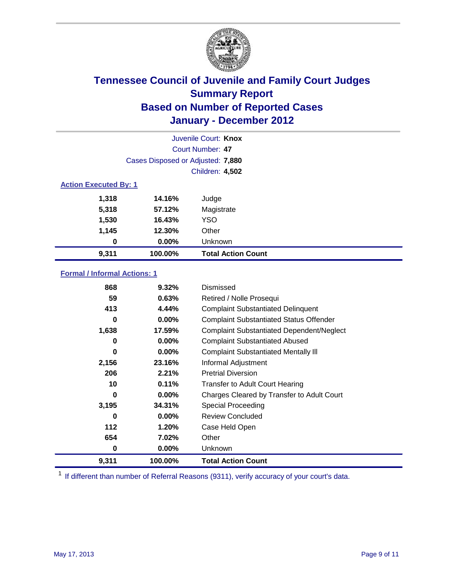

| Juvenile Court: Knox         |                                   |                           |  |  |
|------------------------------|-----------------------------------|---------------------------|--|--|
|                              | Court Number: 47                  |                           |  |  |
|                              | Cases Disposed or Adjusted: 7,880 |                           |  |  |
|                              | <b>Children: 4,502</b>            |                           |  |  |
| <b>Action Executed By: 1</b> |                                   |                           |  |  |
| 1,318                        | 14.16%                            | Judge                     |  |  |
| 5,318                        | 57.12%                            | Magistrate                |  |  |
| 1,530                        | 16.43%                            | <b>YSO</b>                |  |  |
| 1,145                        | 12.30%                            | Other                     |  |  |
| 0                            | 0.00%                             | Unknown                   |  |  |
| 9,311                        | 100.00%                           | <b>Total Action Count</b> |  |  |

### **Formal / Informal Actions: 1**

| 868   | 9.32%    | Dismissed                                        |
|-------|----------|--------------------------------------------------|
| 59    | 0.63%    | Retired / Nolle Prosequi                         |
| 413   | 4.44%    | <b>Complaint Substantiated Delinquent</b>        |
| 0     | $0.00\%$ | <b>Complaint Substantiated Status Offender</b>   |
| 1,638 | 17.59%   | <b>Complaint Substantiated Dependent/Neglect</b> |
| 0     | 0.00%    | <b>Complaint Substantiated Abused</b>            |
| 0     | $0.00\%$ | <b>Complaint Substantiated Mentally III</b>      |
| 2,156 | 23.16%   | Informal Adjustment                              |
| 206   | 2.21%    | <b>Pretrial Diversion</b>                        |
| 10    | 0.11%    | <b>Transfer to Adult Court Hearing</b>           |
| 0     | $0.00\%$ | Charges Cleared by Transfer to Adult Court       |
| 3,195 | 34.31%   | <b>Special Proceeding</b>                        |
| 0     | 0.00%    | <b>Review Concluded</b>                          |
| 112   | 1.20%    | Case Held Open                                   |
| 654   | 7.02%    | Other                                            |
| 0     | $0.00\%$ | <b>Unknown</b>                                   |
| 9,311 | 100.00%  | <b>Total Action Count</b>                        |

<sup>1</sup> If different than number of Referral Reasons (9311), verify accuracy of your court's data.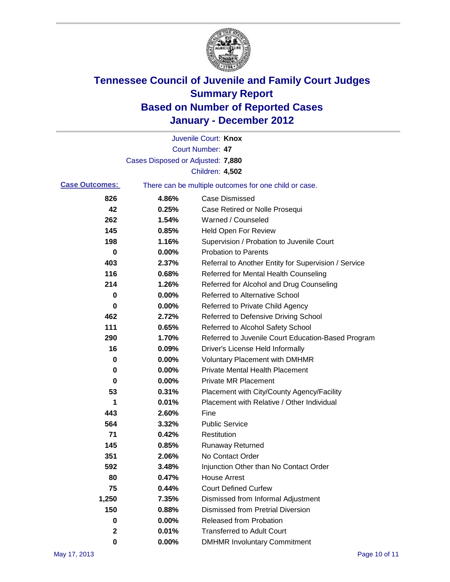

|                       |                                   | Juvenile Court: Knox                                  |
|-----------------------|-----------------------------------|-------------------------------------------------------|
|                       |                                   | <b>Court Number: 47</b>                               |
|                       | Cases Disposed or Adjusted: 7,880 |                                                       |
|                       |                                   | Children: 4,502                                       |
| <b>Case Outcomes:</b> |                                   | There can be multiple outcomes for one child or case. |
| 826                   | 4.86%                             | <b>Case Dismissed</b>                                 |
| 42                    | 0.25%                             | Case Retired or Nolle Prosequi                        |
| 262                   | 1.54%                             | Warned / Counseled                                    |
| 145                   | 0.85%                             | <b>Held Open For Review</b>                           |
| 198                   | 1.16%                             | Supervision / Probation to Juvenile Court             |
| 0                     | 0.00%                             | <b>Probation to Parents</b>                           |
| 403                   | 2.37%                             | Referral to Another Entity for Supervision / Service  |
| 116                   | 0.68%                             | Referred for Mental Health Counseling                 |
| 214                   | 1.26%                             | Referred for Alcohol and Drug Counseling              |
| 0                     | 0.00%                             | <b>Referred to Alternative School</b>                 |
| 0                     | 0.00%                             | Referred to Private Child Agency                      |
| 462                   | 2.72%                             | Referred to Defensive Driving School                  |
| 111                   | 0.65%                             | Referred to Alcohol Safety School                     |
| 290                   | 1.70%                             | Referred to Juvenile Court Education-Based Program    |
| 16                    | 0.09%                             | Driver's License Held Informally                      |
| 0                     | 0.00%                             | <b>Voluntary Placement with DMHMR</b>                 |
| 0                     | 0.00%                             | <b>Private Mental Health Placement</b>                |
| 0                     | 0.00%                             | <b>Private MR Placement</b>                           |
| 53                    | 0.31%                             | Placement with City/County Agency/Facility            |
| 1                     | 0.01%                             | Placement with Relative / Other Individual            |
| 443                   | 2.60%                             | Fine                                                  |
| 564                   | 3.32%                             | <b>Public Service</b>                                 |
| 71                    | 0.42%                             | Restitution                                           |
| 145                   | 0.85%                             | <b>Runaway Returned</b>                               |
| 351                   | 2.06%                             | No Contact Order                                      |
| 592                   | 3.48%                             | Injunction Other than No Contact Order                |
| 80                    | 0.47%                             | <b>House Arrest</b>                                   |
| 75                    | 0.44%                             | <b>Court Defined Curfew</b>                           |
| 1,250                 | 7.35%                             | Dismissed from Informal Adjustment                    |
| 150                   | 0.88%                             | <b>Dismissed from Pretrial Diversion</b>              |
| 0                     | 0.00%                             | Released from Probation                               |
| $\mathbf 2$           | 0.01%                             | <b>Transferred to Adult Court</b>                     |
| 0                     | $0.00\%$                          | <b>DMHMR Involuntary Commitment</b>                   |